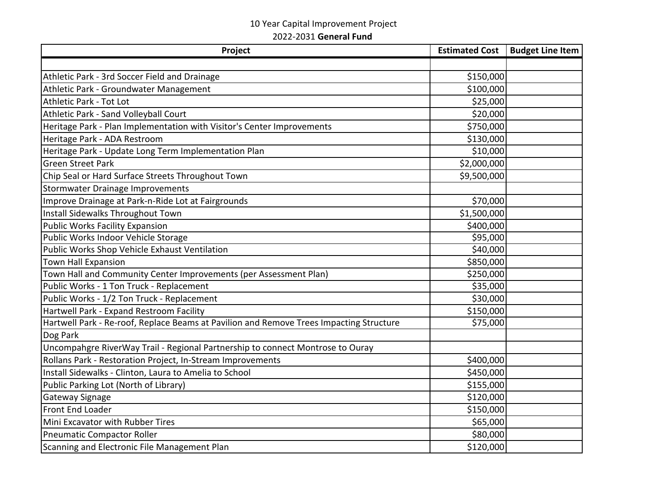## 10 Year Capital Improvement Project

2022-2031 **General Fund**

| Project                                                                                 | <b>Estimated Cost</b> | <b>Budget Line Item</b> |
|-----------------------------------------------------------------------------------------|-----------------------|-------------------------|
|                                                                                         |                       |                         |
| Athletic Park - 3rd Soccer Field and Drainage                                           | \$150,000             |                         |
| Athletic Park - Groundwater Management                                                  | \$100,000             |                         |
| <b>Athletic Park - Tot Lot</b>                                                          | \$25,000              |                         |
| Athletic Park - Sand Volleyball Court                                                   | \$20,000              |                         |
| Heritage Park - Plan Implementation with Visitor's Center Improvements                  | \$750,000             |                         |
| Heritage Park - ADA Restroom                                                            | \$130,000             |                         |
| Heritage Park - Update Long Term Implementation Plan                                    | \$10,000              |                         |
| <b>Green Street Park</b>                                                                | \$2,000,000           |                         |
| Chip Seal or Hard Surface Streets Throughout Town                                       | \$9,500,000           |                         |
| <b>Stormwater Drainage Improvements</b>                                                 |                       |                         |
| Improve Drainage at Park-n-Ride Lot at Fairgrounds                                      | \$70,000              |                         |
| Install Sidewalks Throughout Town                                                       | \$1,500,000           |                         |
| <b>Public Works Facility Expansion</b>                                                  | \$400,000             |                         |
| Public Works Indoor Vehicle Storage                                                     | \$95,000              |                         |
| Public Works Shop Vehicle Exhaust Ventilation                                           | \$40,000              |                         |
| Town Hall Expansion                                                                     | \$850,000             |                         |
| Town Hall and Community Center Improvements (per Assessment Plan)                       | \$250,000             |                         |
| Public Works - 1 Ton Truck - Replacement                                                | \$35,000              |                         |
| Public Works - 1/2 Ton Truck - Replacement                                              | \$30,000              |                         |
| Hartwell Park - Expand Restroom Facility                                                | \$150,000             |                         |
| Hartwell Park - Re-roof, Replace Beams at Pavilion and Remove Trees Impacting Structure | \$75,000              |                         |
| Dog Park                                                                                |                       |                         |
| Uncompahgre RiverWay Trail - Regional Partnership to connect Montrose to Ouray          |                       |                         |
| Rollans Park - Restoration Project, In-Stream Improvements                              | \$400,000             |                         |
| Install Sidewalks - Clinton, Laura to Amelia to School                                  | \$450,000             |                         |
| Public Parking Lot (North of Library)                                                   | \$155,000             |                         |
| Gateway Signage                                                                         | \$120,000             |                         |
| Front End Loader                                                                        | \$150,000             |                         |
| Mini Excavator with Rubber Tires                                                        | \$65,000              |                         |
| <b>Pneumatic Compactor Roller</b>                                                       | \$80,000              |                         |
| Scanning and Electronic File Management Plan                                            | \$120,000             |                         |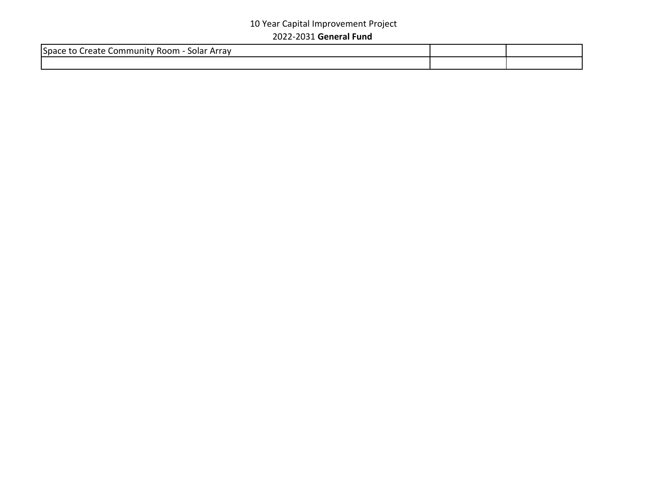## 10 Year Capital Improvement Project 2022-2031 **General Fund**

| Space to u<br>: Arrav<br>solar<br>$-0.0000$<br>∴or<br>. .<br>,,,,,, |  |
|---------------------------------------------------------------------|--|
|                                                                     |  |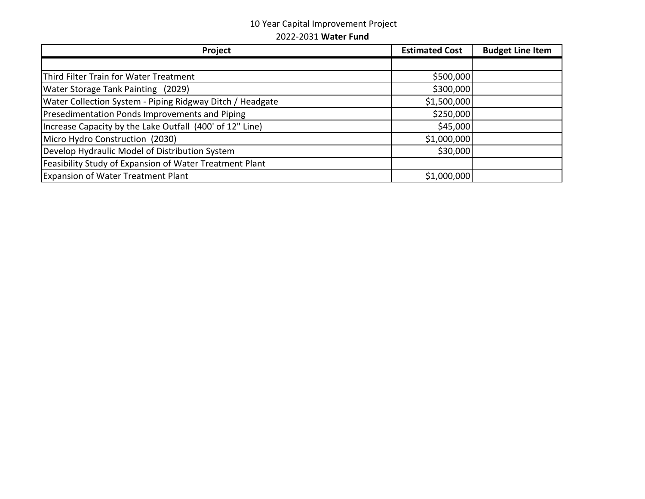## 10 Year Capital Improvement Project

2022-2031 **Water Fund**

| Project                                                   | <b>Estimated Cost</b> | <b>Budget Line Item</b> |
|-----------------------------------------------------------|-----------------------|-------------------------|
|                                                           |                       |                         |
| Third Filter Train for Water Treatment                    | \$500,000             |                         |
| Water Storage Tank Painting (2029)                        | \$300,000             |                         |
| Water Collection System - Piping Ridgway Ditch / Headgate | \$1,500,000           |                         |
| Presedimentation Ponds Improvements and Piping            | \$250,000             |                         |
| Increase Capacity by the Lake Outfall (400' of 12" Line)  | \$45,000              |                         |
| Micro Hydro Construction (2030)                           | \$1,000,000           |                         |
| Develop Hydraulic Model of Distribution System            | \$30,000              |                         |
| Feasibility Study of Expansion of Water Treatment Plant   |                       |                         |
| <b>Expansion of Water Treatment Plant</b>                 | \$1,000,000           |                         |